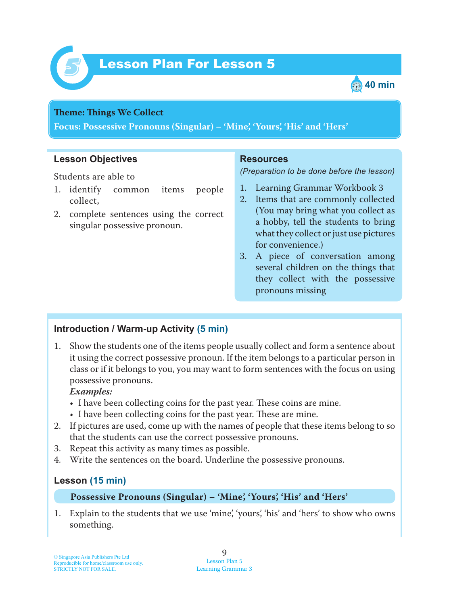



### **Theme: Things We Collect**

**Focus: Possessive Pronouns (Singular) – 'Mine', 'Yours', 'His' and 'Hers'**

## **Lesson Objectives**

Students are able to

- 1. identify common items people collect,
- 2. complete sentences using the correct singular possessive pronoun.

## **Resources**

*(Preparation to be done before the lesson)*

- 1. Learning Grammar Workbook 3
- 2. Items that are commonly collected (You may bring what you collect as a hobby, tell the students to bring what they collect or just use pictures for convenience.)
- 3. A piece of conversation among several children on the things that they collect with the possessive pronouns missing

## **Introduction / Warm-up Activity (5 min)**

1. Show the students one of the items people usually collect and form a sentence about it using the correct possessive pronoun. If the item belongs to a particular person in class or if it belongs to you, you may want to form sentences with the focus on using possessive pronouns.

### *Examples:*

- I have been collecting coins for the past year. These coins are mine.
- I have been collecting coins for the past year. These are mine.
- 2. If pictures are used, come up with the names of people that these items belong to so that the students can use the correct possessive pronouns.
- 3. Repeat this activity as many times as possible.
- 4. Write the sentences on the board. Underline the possessive pronouns.

## **Lesson (15 min)**

#### **Possessive Pronouns (Singular) – 'Mine', 'Yours', 'His' and 'Hers'**

1 . Explain to the students that we use 'mine', 'yours', 'his' and 'hers' to show who owns something.